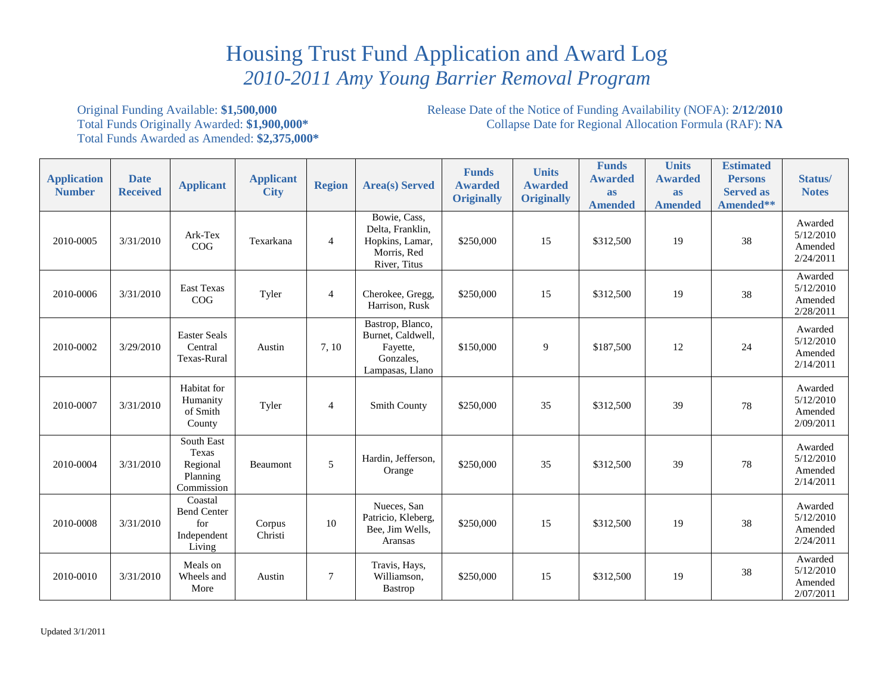## Housing Trust Fund Application and Award Log  *2010-2011 Amy Young Barrier Removal Program*

## Total Funds Awarded as Amended: **\$2,375,000\***

 Total Funds Originally Awarded: **\$1,900,000\*** Collapse Date for Regional Allocation Formula (RAF): **NA**  Original Funding Available: **\$1,500,000 Release Date of the Notice of Funding Availability (NOFA): 2/12/2010 Total Funds Originally Awarded: <b>\$1,900,000**\* **Collapse Date for Regional Allocation Formula (RAF): NA** 

| <b>Application</b><br><b>Number</b> | <b>Date</b><br><b>Received</b> | <b>Applicant</b>                                              | <b>Applicant</b><br><b>City</b> | <b>Region</b>  | <b>Area(s)</b> Served                                                              | <b>Funds</b><br><b>Awarded</b><br><b>Originally</b> | <b>Units</b><br><b>Awarded</b><br><b>Originally</b> | <b>Funds</b><br><b>Awarded</b><br><b>as</b><br><b>Amended</b> | <b>Units</b><br><b>Awarded</b><br><b>as</b><br><b>Amended</b> | <b>Estimated</b><br><b>Persons</b><br><b>Served as</b><br>Amended** | Status/<br><b>Notes</b>                      |
|-------------------------------------|--------------------------------|---------------------------------------------------------------|---------------------------------|----------------|------------------------------------------------------------------------------------|-----------------------------------------------------|-----------------------------------------------------|---------------------------------------------------------------|---------------------------------------------------------------|---------------------------------------------------------------------|----------------------------------------------|
| 2010-0005                           | 3/31/2010                      | Ark-Tex<br>COG                                                | Texarkana                       | $\overline{4}$ | Bowie, Cass,<br>Delta, Franklin,<br>Hopkins, Lamar,<br>Morris, Red<br>River, Titus | \$250,000                                           | 15                                                  | \$312,500                                                     | 19                                                            | 38                                                                  | Awarded<br>5/12/2010<br>Amended<br>2/24/2011 |
| 2010-0006                           | 3/31/2010                      | East Texas<br>COG                                             | Tyler                           | $\overline{4}$ | Cherokee, Gregg,<br>Harrison, Rusk                                                 | \$250,000                                           | 15                                                  | \$312,500                                                     | 19                                                            | 38                                                                  | Awarded<br>5/12/2010<br>Amended<br>2/28/2011 |
| 2010-0002                           | 3/29/2010                      | <b>Easter Seals</b><br>Central<br>Texas-Rural                 | Austin                          | 7, 10          | Bastrop, Blanco,<br>Burnet, Caldwell,<br>Fayette,<br>Gonzales,<br>Lampasas, Llano  | \$150,000                                           | 9                                                   | \$187,500                                                     | 12                                                            | 24                                                                  | Awarded<br>5/12/2010<br>Amended<br>2/14/2011 |
| 2010-0007                           | 3/31/2010                      | Habitat for<br>Humanity<br>of Smith<br>County                 | Tyler                           | $\overline{4}$ | <b>Smith County</b>                                                                | \$250,000                                           | 35                                                  | \$312,500                                                     | 39                                                            | 78                                                                  | Awarded<br>5/12/2010<br>Amended<br>2/09/2011 |
| 2010-0004                           | 3/31/2010                      | South East<br>Texas<br>Regional<br>Planning<br>Commission     | Beaumont                        | 5              | Hardin, Jefferson,<br>Orange                                                       | \$250,000                                           | 35                                                  | \$312,500                                                     | 39                                                            | 78                                                                  | Awarded<br>5/12/2010<br>Amended<br>2/14/2011 |
| 2010-0008                           | 3/31/2010                      | Coastal<br><b>Bend Center</b><br>for<br>Independent<br>Living | Corpus<br>Christi               | 10             | Nueces, San<br>Patricio, Kleberg,<br>Bee, Jim Wells,<br>Aransas                    | \$250,000                                           | 15                                                  | \$312,500                                                     | 19                                                            | 38                                                                  | Awarded<br>5/12/2010<br>Amended<br>2/24/2011 |
| 2010-0010                           | 3/31/2010                      | Meals on<br>Wheels and<br>More                                | Austin                          | $\overline{7}$ | Travis, Hays,<br>Williamson,<br><b>Bastrop</b>                                     | \$250,000                                           | 15                                                  | \$312,500                                                     | 19                                                            | 38                                                                  | Awarded<br>5/12/2010<br>Amended<br>2/07/2011 |